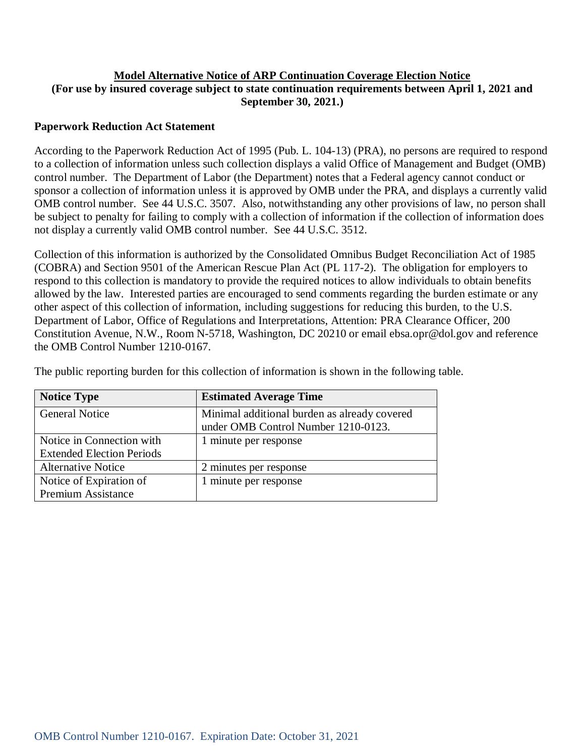# **Model Alternative Notice of ARP Continuation Coverage Election Notice (For use by insured coverage subject to state continuation requirements between April 1, 2021 and September 30, 2021.)**

## **Paperwork Reduction Act Statement**

According to the Paperwork Reduction Act of 1995 (Pub. L. 104-13) (PRA), no persons are required to respond to a collection of information unless such collection displays a valid Office of Management and Budget (OMB) control number. The Department of Labor (the Department) notes that a Federal agency cannot conduct or sponsor a collection of information unless it is approved by OMB under the PRA, and displays a currently valid OMB control number. See 44 U.S.C. 3507. Also, notwithstanding any other provisions of law, no person shall be subject to penalty for failing to comply with a collection of information if the collection of information does not display a currently valid OMB control number. See 44 U.S.C. 3512.

Collection of this information is authorized by the Consolidated Omnibus Budget Reconciliation Act of 1985 (COBRA) and Section 9501 of the American Rescue Plan Act (PL 117-2). The obligation for employers to respond to this collection is mandatory to provide the required notices to allow individuals to obtain benefits allowed by the law. Interested parties are encouraged to send comments regarding the burden estimate or any other aspect of this collection of information, including suggestions for reducing this burden, to the U.S. Department of Labor, Office of Regulations and Interpretations, Attention: PRA Clearance Officer, 200 Constitution Avenue, N.W., Room N-5718, Washington, DC 20210 or email ebsa.opr@dol.gov and reference the OMB Control Number 1210-0167.

| <b>Notice Type</b>               | <b>Estimated Average Time</b>                |  |
|----------------------------------|----------------------------------------------|--|
| <b>General Notice</b>            | Minimal additional burden as already covered |  |
|                                  | under OMB Control Number 1210-0123.          |  |
| Notice in Connection with        | 1 minute per response                        |  |
| <b>Extended Election Periods</b> |                                              |  |
| <b>Alternative Notice</b>        | 2 minutes per response                       |  |
| Notice of Expiration of          | 1 minute per response                        |  |
| <b>Premium Assistance</b>        |                                              |  |

The public reporting burden for this collection of information is shown in the following table.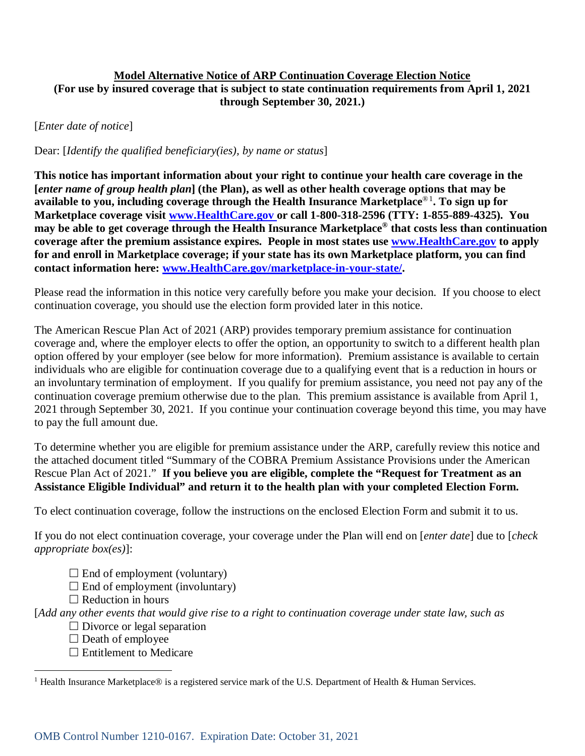## **Model Alternative Notice of ARP Continuation Coverage Election Notice (For use by insured coverage that is subject to state continuation requirements from April 1, 2021 through September 30, 2021.)**

[*Enter date of notice*]

Dear: [*Identify the qualified beneficiary(ies), by name or status*]

**This notice has important information about your right to continue your health care coverage in the [***enter name of group health plan***] (the Plan), as well as other health coverage options that may be available to you, including coverage through the Health Insurance Marketplace**®[1](#page-1-0) **. To sign up for Marketplace coverage visit [www.HealthCare.gov](http://www.healthcare.gov/) or call 1-800-318-2596 (TTY: 1-855-889-4325). You may be able to get coverage through the Health Insurance Marketplace® that costs less than continuation coverage after the premium assistance expires. People in most states use [www.HealthCare.gov](https://www.healthcare.gov/) to apply for and enroll in Marketplace coverage; if your state has its own Marketplace platform, you can find contact information here: [www.HealthCare.gov/marketplace-in-your-state/.](https://www.healthcare.gov/marketplace-in-your-state/)**

Please read the information in this notice very carefully before you make your decision. If you choose to elect continuation coverage, you should use the election form provided later in this notice.

The American Rescue Plan Act of 2021 (ARP) provides temporary premium assistance for continuation coverage and, where the employer elects to offer the option, an opportunity to switch to a different health plan option offered by your employer (see below for more information). Premium assistance is available to certain individuals who are eligible for continuation coverage due to a qualifying event that is a reduction in hours or an involuntary termination of employment. If you qualify for premium assistance, you need not pay any of the continuation coverage premium otherwise due to the plan. This premium assistance is available from April 1, 2021 through September 30, 2021. If you continue your continuation coverage beyond this time, you may have to pay the full amount due.

To determine whether you are eligible for premium assistance under the ARP, carefully review this notice and the attached document titled "Summary of the COBRA Premium Assistance Provisions under the American Rescue Plan Act of 2021." **If you believe you are eligible, complete the "Request for Treatment as an Assistance Eligible Individual" and return it to the health plan with your completed Election Form.**

To elect continuation coverage, follow the instructions on the enclosed Election Form and submit it to us.

If you do not elect continuation coverage, your coverage under the Plan will end on [*enter date*] due to [*check appropriate box(es)*]:

- $\Box$  End of employment (voluntary)
- $\Box$  End of employment (involuntary)
- $\Box$  Reduction in hours

[*Add any other events that would give rise to a right to continuation coverage under state law, such as*

- $\Box$  Divorce or legal separation
- $\Box$  Death of employee

 $\overline{a}$ 

 $\Box$  Entitlement to Medicare

<span id="page-1-0"></span><sup>&</sup>lt;sup>1</sup> Health Insurance Marketplace® is a registered service mark of the U.S. Department of Health & Human Services.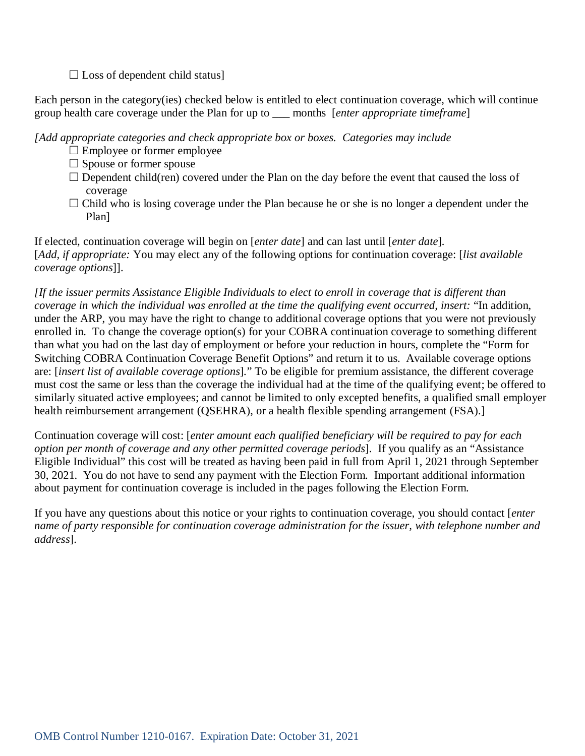$\square$  Loss of dependent child status]

Each person in the category(ies) checked below is entitled to elect continuation coverage, which will continue group health care coverage under the Plan for up to \_\_\_ months [*enter appropriate timeframe*]

*[Add appropriate categories and check appropriate box or boxes. Categories may include*

- $\Box$  Employee or former employee
- $\square$  Spouse or former spouse
- $\Box$  Dependent child(ren) covered under the Plan on the day before the event that caused the loss of coverage
- $\Box$  Child who is losing coverage under the Plan because he or she is no longer a dependent under the Plan]

If elected, continuation coverage will begin on [*enter date*] and can last until [*enter date*]*.*  [*Add, if appropriate:* You may elect any of the following options for continuation coverage: [*list available coverage options*]].

*[If the issuer permits Assistance Eligible Individuals to elect to enroll in coverage that is different than coverage in which the individual was enrolled at the time the qualifying event occurred, insert:* "In addition, under the ARP, you may have the right to change to additional coverage options that you were not previously enrolled in. To change the coverage option(s) for your COBRA continuation coverage to something different than what you had on the last day of employment or before your reduction in hours, complete the "Form for Switching COBRA Continuation Coverage Benefit Options" and return it to us. Available coverage options are: [*insert list of available coverage options*]*.*" To be eligible for premium assistance, the different coverage must cost the same or less than the coverage the individual had at the time of the qualifying event; be offered to similarly situated active employees; and cannot be limited to only excepted benefits, a qualified small employer health reimbursement arrangement (QSEHRA), or a health flexible spending arrangement (FSA).]

Continuation coverage will cost: [*enter amount each qualified beneficiary will be required to pay for each option per month of coverage and any other permitted coverage periods*].If you qualify as an "Assistance Eligible Individual" this cost will be treated as having been paid in full from April 1, 2021 through September 30, 2021. You do not have to send any payment with the Election Form. Important additional information about payment for continuation coverage is included in the pages following the Election Form.

If you have any questions about this notice or your rights to continuation coverage, you should contact [*enter name of party responsible for continuation coverage administration for the issuer, with telephone number and address*].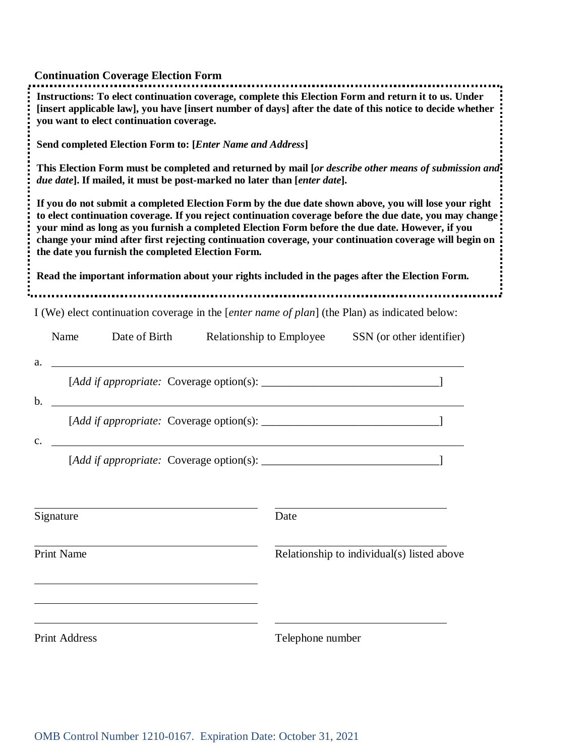| <b>Continuation Coverage Election Form</b>                                                                                                                                        |                                                                                                                                                                                                                                                                                                                           |  |  |  |  |  |
|-----------------------------------------------------------------------------------------------------------------------------------------------------------------------------------|---------------------------------------------------------------------------------------------------------------------------------------------------------------------------------------------------------------------------------------------------------------------------------------------------------------------------|--|--|--|--|--|
| Instructions: To elect continuation coverage, complete this Election Form and return it to us. Under<br>you want to elect continuation coverage.                                  | [insert applicable law], you have [insert number of days] after the date of this notice to decide whether                                                                                                                                                                                                                 |  |  |  |  |  |
| Send completed Election Form to: [Enter Name and Address]                                                                                                                         |                                                                                                                                                                                                                                                                                                                           |  |  |  |  |  |
| This Election Form must be completed and returned by mail [or describe other means of submission and-<br>due date]. If mailed, it must be post-marked no later than [enter date]. |                                                                                                                                                                                                                                                                                                                           |  |  |  |  |  |
| your mind as long as you furnish a completed Election Form before the due date. However, if you<br>the date you furnish the completed Election Form.                              | If you do not submit a completed Election Form by the due date shown above, you will lose your right<br>to elect continuation coverage. If you reject continuation coverage before the due date, you may change<br>change your mind after first rejecting continuation coverage, your continuation coverage will begin on |  |  |  |  |  |
| Read the important information about your rights included in the pages after the Election Form.                                                                                   |                                                                                                                                                                                                                                                                                                                           |  |  |  |  |  |
| I (We) elect continuation coverage in the [enter name of plan] (the Plan) as indicated below:                                                                                     |                                                                                                                                                                                                                                                                                                                           |  |  |  |  |  |
| Date of Birth<br>Name                                                                                                                                                             | Relationship to Employee<br>SSN (or other identifier)                                                                                                                                                                                                                                                                     |  |  |  |  |  |
| a.<br><u> 2000 - Jan James James Barnett, amerikan bisa di sebagai pertama dan bagi pertama dan bagi pertama dan bagi </u><br>$\mathbf b$ .                                       |                                                                                                                                                                                                                                                                                                                           |  |  |  |  |  |
| $\mathbf{c}$ .                                                                                                                                                                    |                                                                                                                                                                                                                                                                                                                           |  |  |  |  |  |
|                                                                                                                                                                                   |                                                                                                                                                                                                                                                                                                                           |  |  |  |  |  |
| Signature                                                                                                                                                                         | Date                                                                                                                                                                                                                                                                                                                      |  |  |  |  |  |
| <b>Print Name</b>                                                                                                                                                                 | Relationship to individual(s) listed above                                                                                                                                                                                                                                                                                |  |  |  |  |  |
| <b>Print Address</b>                                                                                                                                                              | Telephone number                                                                                                                                                                                                                                                                                                          |  |  |  |  |  |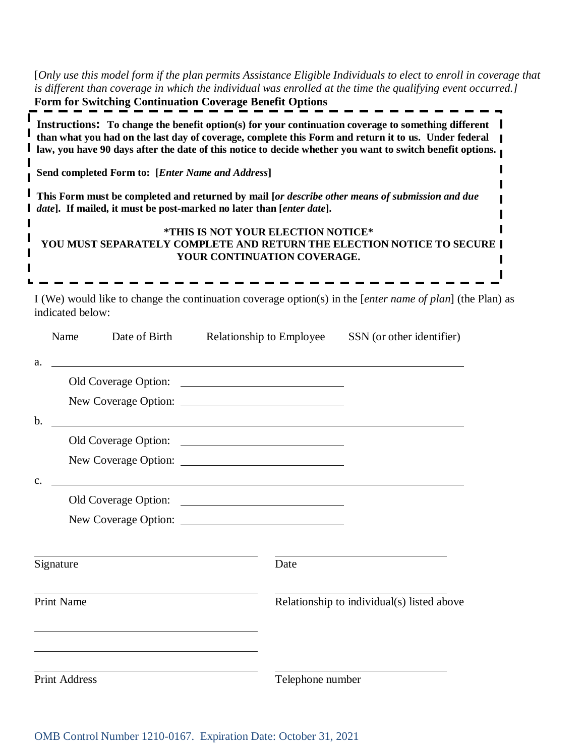[*Only use this model form if the plan permits Assistance Eligible Individuals to elect to enroll in coverage that is different than coverage in which the individual was enrolled at the time the qualifying event occurred.]* **Form for Switching Continuation Coverage Benefit Options**

| Instructions: To change the benefit option(s) for your continuation coverage to something different<br>than what you had on the last day of coverage, complete this Form and return it to us. Under federal<br>law, you have 90 days after the date of this notice to decide whether you want to switch benefit options. |
|--------------------------------------------------------------------------------------------------------------------------------------------------------------------------------------------------------------------------------------------------------------------------------------------------------------------------|
| Send completed Form to: [Enter Name and Address]                                                                                                                                                                                                                                                                         |
| This Form must be completed and returned by mail [or describe other means of submission and due<br><i>date</i> ]. If mailed, it must be post-marked no later than [ <i>enter date</i> ].                                                                                                                                 |
| *THIS IS NOT YOUR ELECTION NOTICE*                                                                                                                                                                                                                                                                                       |
| YOU MUST SEPARATELY COMPLETE AND RETURN THE ELECTION NOTICE TO SECURE  <br>YOUR CONTINUATION COVERAGE.                                                                                                                                                                                                                   |
|                                                                                                                                                                                                                                                                                                                          |

I (We) would like to change the continuation coverage option(s) in the [*enter name of plan*] (the Plan) as indicated below:

|                      | Name      | Date of Birth                                               | Relationship to Employee                                                                                              | SSN (or other identifier)                  |  |
|----------------------|-----------|-------------------------------------------------------------|-----------------------------------------------------------------------------------------------------------------------|--------------------------------------------|--|
| a.                   |           |                                                             |                                                                                                                       |                                            |  |
|                      |           |                                                             |                                                                                                                       |                                            |  |
|                      |           |                                                             |                                                                                                                       |                                            |  |
| $\mathbf b$ .        |           |                                                             | <u> 1989 - Johann Stoff, deutscher Stoff, der Stoff, der Stoff, der Stoff, der Stoff, der Stoff, der Stoff, der S</u> |                                            |  |
|                      |           |                                                             |                                                                                                                       |                                            |  |
|                      |           |                                                             |                                                                                                                       |                                            |  |
| $C_{\star}$          |           |                                                             | <u> 1989 - Johann Stoff, fransk politik (f. 1989)</u>                                                                 |                                            |  |
|                      |           |                                                             |                                                                                                                       |                                            |  |
|                      |           |                                                             |                                                                                                                       |                                            |  |
|                      | Signature |                                                             | Date                                                                                                                  |                                            |  |
| <b>Print Name</b>    |           |                                                             |                                                                                                                       | Relationship to individual(s) listed above |  |
|                      |           | <u> 1989 - Johann Stoff, Amerikaansk politiker († 1908)</u> |                                                                                                                       |                                            |  |
| <b>Print Address</b> |           | Telephone number                                            |                                                                                                                       |                                            |  |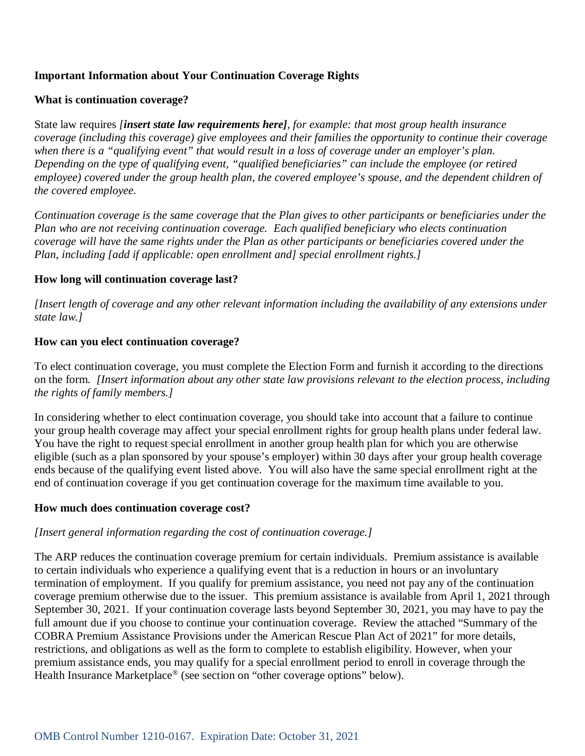# **Important Information about Your Continuation Coverage Rights**

## **What is continuation coverage?**

State law requires *[insert state law requirements here], for example: that most group health insurance coverage (including this coverage) give employees and their families the opportunity to continue their coverage when there is a "qualifying event" that would result in a loss of coverage under an employer's plan. Depending on the type of qualifying event, "qualified beneficiaries" can include the employee (or retired employee) covered under the group health plan, the covered employee's spouse, and the dependent children of the covered employee.*

*Continuation coverage is the same coverage that the Plan gives to other participants or beneficiaries under the Plan who are not receiving continuation coverage. Each qualified beneficiary who elects continuation coverage will have the same rights under the Plan as other participants or beneficiaries covered under the Plan, including [add if applicable: open enrollment and] special enrollment rights.]*

## **How long will continuation coverage last?**

*[Insert length of coverage and any other relevant information including the availability of any extensions under state law.]*

## **How can you elect continuation coverage?**

To elect continuation coverage, you must complete the Election Form and furnish it according to the directions on the form. *[Insert information about any other state law provisions relevant to the election process, including the rights of family members.]*

In considering whether to elect continuation coverage, you should take into account that a failure to continue your group health coverage may affect your special enrollment rights for group health plans under federal law. You have the right to request special enrollment in another group health plan for which you are otherwise eligible (such as a plan sponsored by your spouse's employer) within 30 days after your group health coverage ends because of the qualifying event listed above. You will also have the same special enrollment right at the end of continuation coverage if you get continuation coverage for the maximum time available to you.

#### **How much does continuation coverage cost?**

# *[Insert general information regarding the cost of continuation coverage.]*

The ARP reduces the continuation coverage premium for certain individuals. Premium assistance is available to certain individuals who experience a qualifying event that is a reduction in hours or an involuntary termination of employment. If you qualify for premium assistance, you need not pay any of the continuation coverage premium otherwise due to the issuer. This premium assistance is available from April 1, 2021 through September 30, 2021. If your continuation coverage lasts beyond September 30, 2021, you may have to pay the full amount due if you choose to continue your continuation coverage. Review the attached "Summary of the COBRA Premium Assistance Provisions under the American Rescue Plan Act of 2021" for more details, restrictions, and obligations as well as the form to complete to establish eligibility. However, when your premium assistance ends, you may qualify for a special enrollment period to enroll in coverage through the Health Insurance Marketplace® (see section on "other coverage options" below).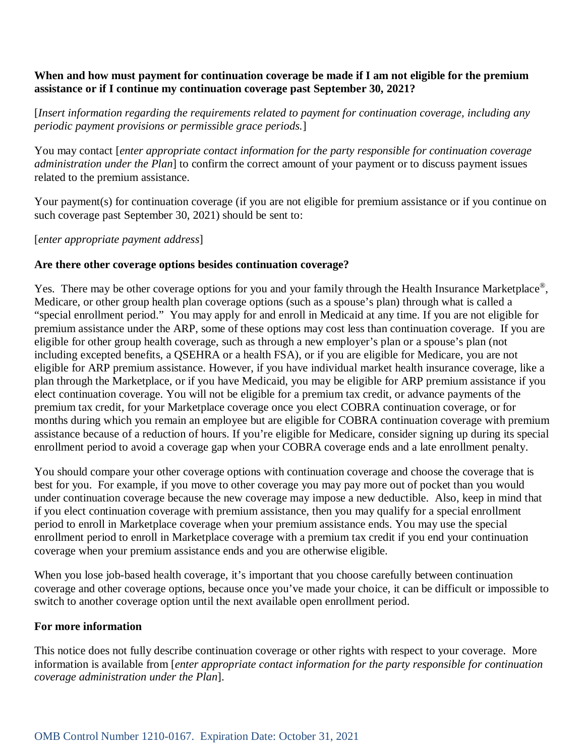## **When and how must payment for continuation coverage be made if I am not eligible for the premium assistance or if I continue my continuation coverage past September 30, 2021?**

[*Insert information regarding the requirements related to payment for continuation coverage, including any periodic payment provisions or permissible grace periods.*]

You may contact [*enter appropriate contact information for the party responsible for continuation coverage administration under the Plan*] to confirm the correct amount of your payment or to discuss payment issues related to the premium assistance.

Your payment(s) for continuation coverage (if you are not eligible for premium assistance or if you continue on such coverage past September 30, 2021) should be sent to:

[*enter appropriate payment address*]

#### **Are there other coverage options besides continuation coverage?**

Yes. There may be other coverage options for you and your family through the Health Insurance Marketplace<sup>®</sup>, Medicare, or other group health plan coverage options (such as a spouse's plan) through what is called a "special enrollment period." You may apply for and enroll in Medicaid at any time. If you are not eligible for premium assistance under the ARP, some of these options may cost less than continuation coverage. If you are eligible for other group health coverage, such as through a new employer's plan or a spouse's plan (not including excepted benefits, a QSEHRA or a health FSA), or if you are eligible for Medicare, you are not eligible for ARP premium assistance. However, if you have individual market health insurance coverage, like a plan through the Marketplace, or if you have Medicaid, you may be eligible for ARP premium assistance if you elect continuation coverage. You will not be eligible for a premium tax credit, or advance payments of the premium tax credit, for your Marketplace coverage once you elect COBRA continuation coverage, or for months during which you remain an employee but are eligible for COBRA continuation coverage with premium assistance because of a reduction of hours. If you're eligible for Medicare, consider signing up during its special enrollment period to avoid a coverage gap when your COBRA coverage ends and a late enrollment penalty.

You should compare your other coverage options with continuation coverage and choose the coverage that is best for you. For example, if you move to other coverage you may pay more out of pocket than you would under continuation coverage because the new coverage may impose a new deductible. Also, keep in mind that if you elect continuation coverage with premium assistance, then you may qualify for a special enrollment period to enroll in Marketplace coverage when your premium assistance ends. You may use the special enrollment period to enroll in Marketplace coverage with a premium tax credit if you end your continuation coverage when your premium assistance ends and you are otherwise eligible.

When you lose job-based health coverage, it's important that you choose carefully between continuation coverage and other coverage options, because once you've made your choice, it can be difficult or impossible to switch to another coverage option until the next available open enrollment period.

#### **For more information**

This notice does not fully describe continuation coverage or other rights with respect to your coverage. More information is available from [*enter appropriate contact information for the party responsible for continuation coverage administration under the Plan*].